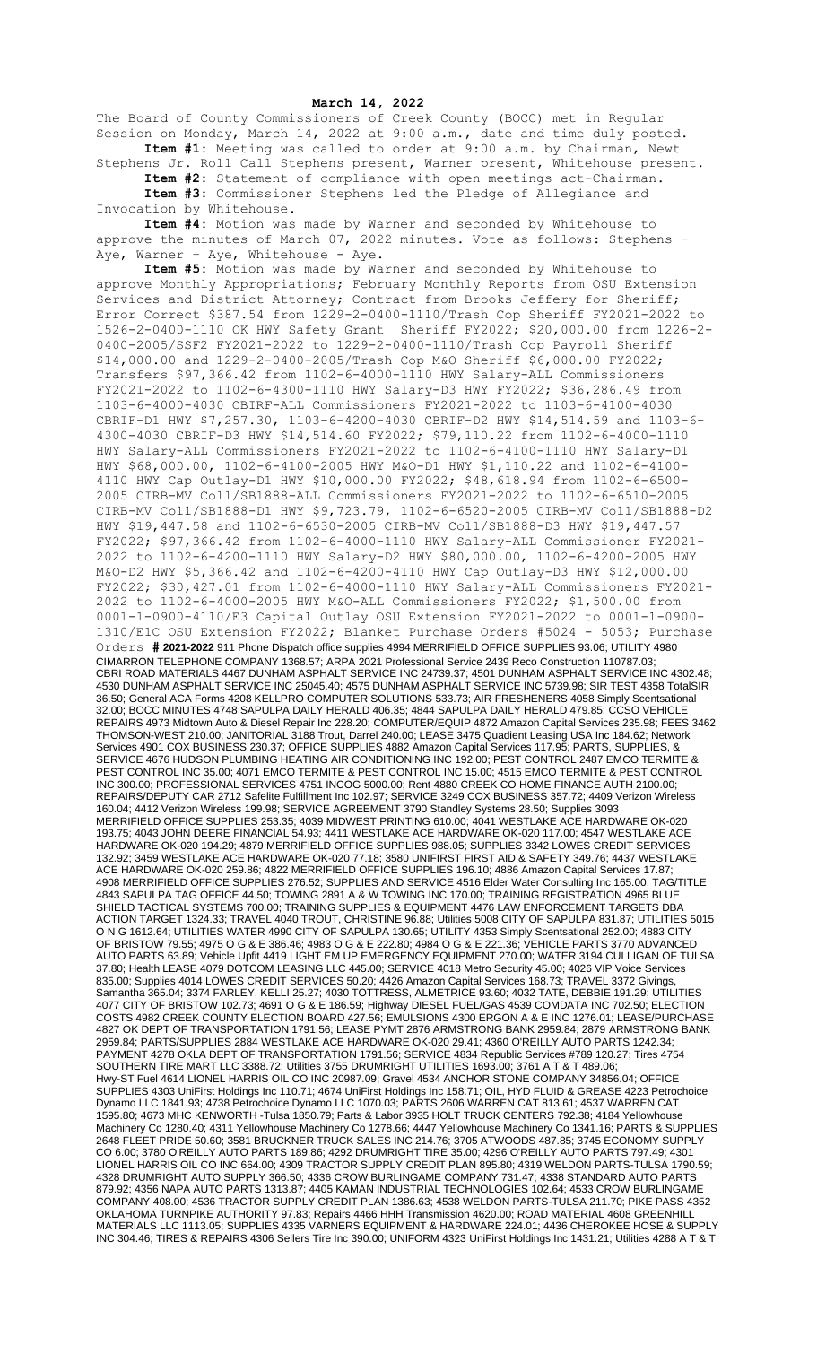## **March 14, 2022**

The Board of County Commissioners of Creek County (BOCC) met in Regular Session on Monday, March 14, 2022 at 9:00 a.m., date and time duly posted. **Item #1:** Meeting was called to order at 9:00 a.m. by Chairman, Newt

Stephens Jr. Roll Call Stephens present, Warner present, Whitehouse present. **Item #2:** Statement of compliance with open meetings act-Chairman. **Item #3:** Commissioner Stephens led the Pledge of Allegiance and

Invocation by Whitehouse. **Item #4:** Motion was made by Warner and seconded by Whitehouse to

approve the minutes of March  $07, 2022$  minutes. Vote as follows: Stephens – Aye, Warner - Aye, Whitehouse - Aye.

**Item #5:** Motion was made by Warner and seconded by Whitehouse to approve Monthly Appropriations; February Monthly Reports from OSU Extension Services and District Attorney; Contract from Brooks Jeffery for Sheriff; Error Correct \$387.54 from 1229-2-0400-1110/Trash Cop Sheriff FY2021-2022 to 1526-2-0400-1110 OK HWY Safety Grant Sheriff FY2022; \$20,000.00 from 1226-2- 0400-2005/SSF2 FY2021-2022 to 1229-2-0400-1110/Trash Cop Payroll Sheriff \$14,000.00 and 1229-2-0400-2005/Trash Cop M&O Sheriff \$6,000.00 FY2022; Transfers \$97,366.42 from 1102-6-4000-1110 HWY Salary-ALL Commissioners FY2021-2022 to 1102-6-4300-1110 HWY Salary-D3 HWY FY2022; \$36,286.49 from 1103-6-4000-4030 CBIRF-ALL Commissioners FY2021-2022 to 1103-6-4100-4030 CBRIF-D1 HWY \$7,257.30, 1103-6-4200-4030 CBRIF-D2 HWY \$14,514.59 and 1103-6- 4300-4030 CBRIF-D3 HWY \$14,514.60 FY2022; \$79,110.22 from 1102-6-4000-1110 HWY Salary-ALL Commissioners FY2021-2022 to 1102-6-4100-1110 HWY Salary-D1 HWY \$68,000.00, 1102-6-4100-2005 HWY M&O-D1 HWY \$1,110.22 and 1102-6-4100- 4110 HWY Cap Outlay-D1 HWY \$10,000.00 FY2022; \$48,618.94 from 1102-6-6500- 2005 CIRB-MV Coll/SB1888-ALL Commissioners FY2021-2022 to 1102-6-6510-2005 CIRB-MV Coll/SB1888-D1 HWY \$9,723.79, 1102-6-6520-2005 CIRB-MV Coll/SB1888-D2 HWY \$19,447.58 and 1102-6-6530-2005 CIRB-MV Coll/SB1888-D3 HWY \$19,447.57 FY2022; \$97,366.42 from 1102-6-4000-1110 HWY Salary-ALL Commissioner FY2021- 2022 to 1102-6-4200-1110 HWY Salary-D2 HWY \$80,000.00, 1102-6-4200-2005 HWY M&O-D2 HWY \$5,366.42 and 1102-6-4200-4110 HWY Cap Outlay-D3 HWY \$12,000.00 FY2022; \$30,427.01 from 1102-6-4000-1110 HWY Salary-ALL Commissioners FY2021- 2022 to 1102-6-4000-2005 HWY M&O-ALL Commissioners FY2022; \$1,500.00 from 0001-1-0900-4110/E3 Capital Outlay OSU Extension FY2021-2022 to 0001-1-0900- 1310/E1C OSU Extension FY2022; Blanket Purchase Orders #5024 - 5053; Purchase Orders **# 2021-2022** 911 Phone Dispatch office supplies 4994 MERRIFIELD OFFICE SUPPLIES 93.06; UTILITY 4980 CIMARRON TELEPHONE COMPANY 1368.57; ARPA 2021 Professional Service 2439 Reco Construction 110787.03; CBRI ROAD MATERIALS 4467 DUNHAM ASPHALT SERVICE INC 24739.37; 4501 DUNHAM ASPHALT SERVICE INC 4302.48; 4530 DUNHAM ASPHALT SERVICE INC 25045.40; 4575 DUNHAM ASPHALT SERVICE INC 5739.98; SIR TEST 4358 TotalSIR 36.50; General ACA Forms 4208 KELLPRO COMPUTER SOLUTIONS 533.73; AIR FRESHENERS 4058 Simply Scentsational 32.00; BOCC MINUTES 4748 SAPULPA DAILY HERALD 406.35; 4844 SAPULPA DAILY HERALD 479.85; CCSO VEHICLE REPAIRS 4973 Midtown Auto & Diesel Repair Inc 228.20; COMPUTER/EQUIP 4872 Amazon Capital Services 235.98; FEES 3462 THOMSON-WEST 210.00; JANITORIAL 3188 Trout, Darrel 240.00; LEASE 3475 Quadient Leasing USA Inc 184.62; Network Services 4901 COX BUSINESS 230.37; OFFICE SUPPLIES 4882 Amazon Capital Services 117.95; PARTS, SUPPLIES, & SERVICE 4676 HUDSON PLUMBING HEATING AIR CONDITIONING INC 192.00; PEST CONTROL 2487 EMCO TERMITE & PEST CONTROL INC 35.00; 4071 EMCO TERMITE & PEST CONTROL INC 15.00; 4515 EMCO TERMITE & PEST CONTROL INC 300.00; PROFESSIONAL SERVICES 4751 INCOG 5000.00; Rent 4880 CREEK CO HOME FINANCE AUTH 2100.00; REPAIRS/DEPUTY CAR 2712 Safelite Fulfillment Inc 102.97; SERVICE 3249 COX BUSINESS 357.72; 4409 Verizon Wireless 160.04; 4412 Verizon Wireless 199.98; SERVICE AGREEMENT 3790 Standley Systems 28.50; Supplies 3093 MERRIFIELD OFFICE SUPPLIES 253.35; 4039 MIDWEST PRINTING 610.00; 4041 WESTLAKE ACE HARDWARE OK-020 193.75; 4043 JOHN DEERE FINANCIAL 54.93; 4411 WESTLAKE ACE HARDWARE OK-020 117.00; 4547 WESTLAKE ACE HARDWARE OK-020 194.29; 4879 MERRIFIELD OFFICE SUPPLIES 988.05; SUPPLIES 3342 LOWES CREDIT SERVICES 132.92; 3459 WESTLAKE ACE HARDWARE OK-020 77.18; 3580 UNIFIRST FIRST AID & SAFETY 349.76; 4437 WESTLAKE ACE HARDWARE OK-020 259.86; 4822 MERRIFIELD OFFICE SUPPLIES 196.10; 4886 Amazon Capital Services 17.87; 4908 MERRIFIELD OFFICE SUPPLIES 276.52; SUPPLIES AND SERVICE 4516 Elder Water Consulting Inc 165.00; TAG/TITLE 4843 SAPULPA TAG OFFICE 44.50; TOWING 2891 A & W TOWING INC 170.00; TRAINING REGISTRATION 4965 BLUE SHIELD TACTICAL SYSTEMS 700.00; TRAINING SUPPLIES & EQUIPMENT 4476 LAW ENFORCEMENT TARGETS DBA ACTION TARGET 1324.33; TRAVEL 4040 TROUT, CHRISTINE 96.88; Utilities 5008 CITY OF SAPULPA 831.87; UTILITIES 5015 O N G 1612.64; UTILITIES WATER 4990 CITY OF SAPULPA 130.65; UTILITY 4353 Simply Scentsational 252.00; 4883 CITY OF BRISTOW 79.55; 4975 O G & E 386.46; 4983 O G & E 222.80; 4984 O G & E 221.36; VEHICLE PARTS 3770 ADVANCED AUTO PARTS 63.89; Vehicle Upfit 4419 LIGHT EM UP EMERGENCY EQUIPMENT 270.00; WATER 3194 CULLIGAN OF TULSA 37.80; Health LEASE 4079 DOTCOM LEASING LLC 445.00; SERVICE 4018 Metro Security 45.00; 4026 VIP Voice Services 835.00; Supplies 4014 LOWES CREDIT SERVICES 50.20; 4426 Amazon Capital Services 168.73; TRAVEL 3372 Givings, Samantha 365.04; 3374 FARLEY, KELLI 25.27; 4030 TOTTRESS, ALMETRICE 93.60; 4032 TATE, DEBBIE 191.29; UTILITIES 4077 CITY OF BRISTOW 102.73; 4691 O G & E 186.59; Highway DIESEL FUEL/GAS 4539 COMDATA INC 702.50; ELECTION COSTS 4982 CREEK COUNTY ELECTION BOARD 427.56; EMULSIONS 4300 ERGON A & E INC 1276.01; LEASE/PURCHASE 4827 OK DEPT OF TRANSPORTATION 1791.56; LEASE PYMT 2876 ARMSTRONG BANK 2959.84; 2879 ARMSTRONG BANK 2959.84; PARTS/SUPPLIES 2884 WESTLAKE ACE HARDWARE OK-020 29.41; 4360 O'REILLY AUTO PARTS 1242.34; PAYMENT 4278 OKLA DEPT OF TRANSPORTATION 1791.56; SERVICE 4834 Republic Services #789 120.27; Tires 4754 SOUTHERN TIRE MART LLC 3388.72; Utilities 3755 DRUMRIGHT UTILITIES 1693.00; 3761 A T & T 489.06; Hwy-ST Fuel 4614 LIONEL HARRIS OIL CO INC 20987.09; Gravel 4534 ANCHOR STONE COMPANY 34856.04; OFFICE SUPPLIES 4303 UniFirst Holdings Inc 110.71; 4674 UniFirst Holdings Inc 158.71; OIL, HYD FLUID & GREASE 4223 Petrochoice Dynamo LLC 1841.93; 4738 Petrochoice Dynamo LLC 1070.03; PARTS 2606 WARREN CAT 813.61; 4537 WARREN CAT 1595.80; 4673 MHC KENWORTH -Tulsa 1850.79; Parts & Labor 3935 HOLT TRUCK CENTERS 792.38; 4184 Yellowhouse Machinery Co 1280.40; 4311 Yellowhouse Machinery Co 1278.66; 4447 Yellowhouse Machinery Co 1341.16; PARTS & SUPPLIES 2648 FLEET PRIDE 50.60; 3581 BRUCKNER TRUCK SALES INC 214.76; 3705 ATWOODS 487.85; 3745 ECONOMY SUPPLY CO 6.00; 3780 O'REILLY AUTO PARTS 189.86; 4292 DRUMRIGHT TIRE 35.00; 4296 O'REILLY AUTO PARTS 797.49; 4301 LIONEL HARRIS OIL CO INC 664.00; 4309 TRACTOR SUPPLY CREDIT PLAN 895.80; 4319 WELDON PARTS-TULSA 1790.59; 4328 DRUMRIGHT AUTO SUPPLY 366.50; 4336 CROW BURLINGAME COMPANY 731.47; 4338 STANDARD AUTO PARTS 879.92; 4356 NAPA AUTO PARTS 1313.87; 4405 KAMAN INDUSTRIAL TECHNOLOGIES 102.64; 4533 CROW BURLINGAME COMPANY 408.00; 4536 TRACTOR SUPPLY CREDIT PLAN 1386.63; 4538 WELDON PARTS-TULSA 211.70; PIKE PASS 4352 OKLAHOMA TURNPIKE AUTHORITY 97.83; Repairs 4466 HHH Transmission 4620.00; ROAD MATERIAL 4608 GREENHILL MATERIALS LLC 1113.05; SUPPLIES 4335 VARNERS EQUIPMENT & HARDWARE 224.01; 4436 CHEROKEE HOSE & SUPPLY INC 304.46; TIRES & REPAIRS 4306 Sellers Tire Inc 390.00; UNIFORM 4323 UniFirst Holdings Inc 1431.21; Utilities 4288 A T & T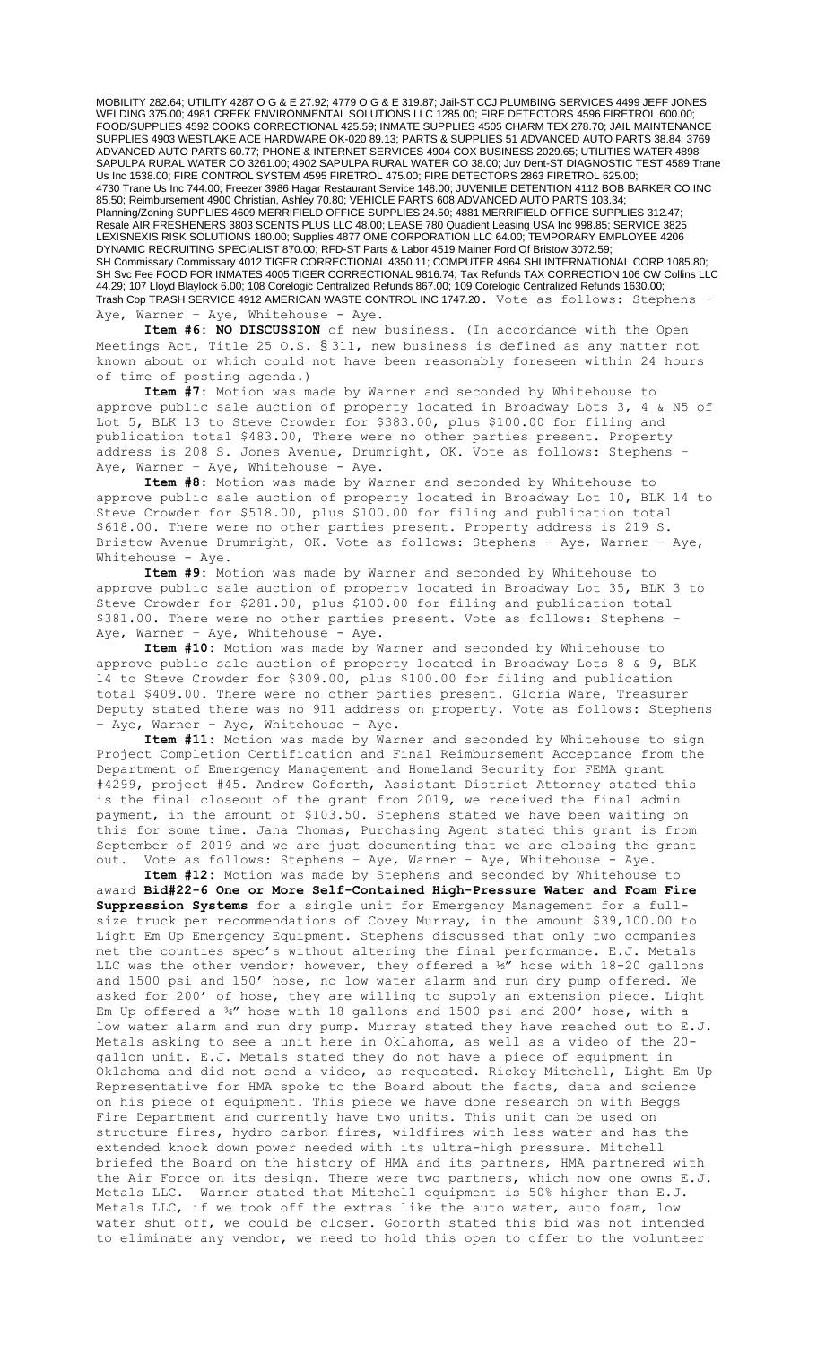MOBILITY 282.64; UTILITY 4287 O G & E 27.92; 4779 O G & E 319.87; Jail-ST CCJ PLUMBING SERVICES 4499 JEFF JONES WELDING 375.00; 4981 CREEK ENVIRONMENTAL SOLUTIONS LLC 1285.00; FIRE DETECTORS 4596 FIRETROL 600.00; FOOD/SUPPLIES 4592 COOKS CORRECTIONAL 425.59; INMATE SUPPLIES 4505 CHARM TEX 278.70; JAIL MAINTENANCE SUPPLIES 4903 WESTLAKE ACE HARDWARE OK-020 89.13; PARTS & SUPPLIES 51 ADVANCED AUTO PARTS 38.84; 3769 ADVANCED AUTO PARTS 60.77; PHONE & INTERNET SERVICES 4904 COX BUSINESS 2029.65; UTILITIES WATER 4898 SAPULPA RURAL WATER CO 3261.00; 4902 SAPULPA RURAL WATER CO 38.00; Juv Dent-ST DIAGNOSTIC TEST 4589 Trane Us Inc 1538.00; FIRE CONTROL SYSTEM 4595 FIRETROL 475.00; FIRE DETECTORS 2863 FIRETROL 625.00; 4730 Trane Us Inc 744.00; Freezer 3986 Hagar Restaurant Service 148.00; JUVENILE DETENTION 4112 BOB BARKER CO INC 85.50; Reimbursement 4900 Christian, Ashley 70.80; VEHICLE PARTS 608 ADVANCED AUTO PARTS 103.34; Planning/Zoning SUPPLIES 4609 MERRIFIELD OFFICE SUPPLIES 24.50; 4881 MERRIFIELD OFFICE SUPPLIES 312.47; Resale AIR FRESHENERS 3803 SCENTS PLUS LLC 48.00; LEASE 780 Quadient Leasing USA Inc 998.85; SERVICE 3825 LEXISNEXIS RISK SOLUTIONS 180.00; Supplies 4877 OME CORPORATION LLC 64.00; TEMPORARY EMPLOYEE 4206 DYNAMIC RECRUITING SPECIALIST 870.00; RFD-ST Parts & Labor 4519 Mainer Ford Of Bristow 3072.59; SH Commissary Commissary 4012 TIGER CORRECTIONAL 4350.11; COMPUTER 4964 SHI INTERNATIONAL CORP 1085.80; SH Svc Fee FOOD FOR INMATES 4005 TIGER CORRECTIONAL 9816.74; Tax Refunds TAX CORRECTION 106 CW Collins LLC 44.29; 107 Lloyd Blaylock 6.00; 108 Corelogic Centralized Refunds 867.00; 109 Corelogic Centralized Refunds 1630.00; Trash Cop TRASH SERVICE 4912 AMERICAN WASTE CONTROL INC 1747.20. Vote as follows: Stephens -Aye, Warner - Aye, Whitehouse - Aye.

**Item #6: NO DISCUSSION** of new business. (In accordance with the Open Meetings Act, Title 25 O.S. § 311, new business is defined as any matter not known about or which could not have been reasonably foreseen within 24 hours of time of posting agenda.)

**Item #7:** Motion was made by Warner and seconded by Whitehouse to approve public sale auction of property located in Broadway Lots 3, 4 & N5 of Lot 5, BLK 13 to Steve Crowder for \$383.00, plus \$100.00 for filing and publication total \$483.00, There were no other parties present. Property address is 208 S. Jones Avenue, Drumright, OK. Vote as follows: Stephens – Aye, Warner - Aye, Whitehouse - Aye.

**Item #8:** Motion was made by Warner and seconded by Whitehouse to approve public sale auction of property located in Broadway Lot 10, BLK 14 to Steve Crowder for \$518.00, plus \$100.00 for filing and publication total \$618.00. There were no other parties present. Property address is 219 S. Bristow Avenue Drumright, OK. Vote as follows: Stephens – Aye, Warner – Aye, Whitehouse - Aye.

**Item #9:** Motion was made by Warner and seconded by Whitehouse to approve public sale auction of property located in Broadway Lot 35, BLK 3 to Steve Crowder for \$281.00, plus \$100.00 for filing and publication total \$381.00. There were no other parties present. Vote as follows: Stephens – Aye, Warner - Aye, Whitehouse - Aye.

**Item #10:** Motion was made by Warner and seconded by Whitehouse to approve public sale auction of property located in Broadway Lots 8 & 9, BLK 14 to Steve Crowder for \$309.00, plus \$100.00 for filing and publication total \$409.00. There were no other parties present. Gloria Ware, Treasurer Deputy stated there was no 911 address on property. Vote as follows: Stephens - Aye, Warner - Aye, Whitehouse - Aye.

**Item #11:** Motion was made by Warner and seconded by Whitehouse to sign Project Completion Certification and Final Reimbursement Acceptance from the Department of Emergency Management and Homeland Security for FEMA grant #4299, project #45. Andrew Goforth, Assistant District Attorney stated this is the final closeout of the grant from 2019, we received the final admin payment, in the amount of \$103.50. Stephens stated we have been waiting on this for some time. Jana Thomas, Purchasing Agent stated this grant is from September of 2019 and we are just documenting that we are closing the grant out. Vote as follows: Stephens – Aye, Warner – Aye, Whitehouse - Aye.

**Item #12:** Motion was made by Stephens and seconded by Whitehouse to award **Bid#22-6 One or More Self-Contained High-Pressure Water and Foam Fire Suppression Systems** for a single unit for Emergency Management for a fullsize truck per recommendations of Covey Murray, in the amount \$39,100.00 to Light Em Up Emergency Equipment. Stephens discussed that only two companies met the counties spec's without altering the final performance. E.J. Metals LLC was the other vendor; however, they offered a ½" hose with 18-20 gallons and 1500 psi and 150' hose, no low water alarm and run dry pump offered. We asked for 200' of hose, they are willing to supply an extension piece. Light Em Up offered a ¾" hose with 18 gallons and 1500 psi and 200' hose, with a low water alarm and run dry pump. Murray stated they have reached out to E.J. Metals asking to see a unit here in Oklahoma, as well as a video of the 20 gallon unit. E.J. Metals stated they do not have a piece of equipment in Oklahoma and did not send a video, as requested. Rickey Mitchell, Light Em Up Representative for HMA spoke to the Board about the facts, data and science on his piece of equipment. This piece we have done research on with Beggs Fire Department and currently have two units. This unit can be used on structure fires, hydro carbon fires, wildfires with less water and has the extended knock down power needed with its ultra-high pressure. Mitchell briefed the Board on the history of HMA and its partners, HMA partnered with the Air Force on its design. There were two partners, which now one owns E.J. Metals LLC. Warner stated that Mitchell equipment is 50% higher than E.J. Metals LLC, if we took off the extras like the auto water, auto foam, low water shut off, we could be closer. Goforth stated this bid was not intended to eliminate any vendor, we need to hold this open to offer to the volunteer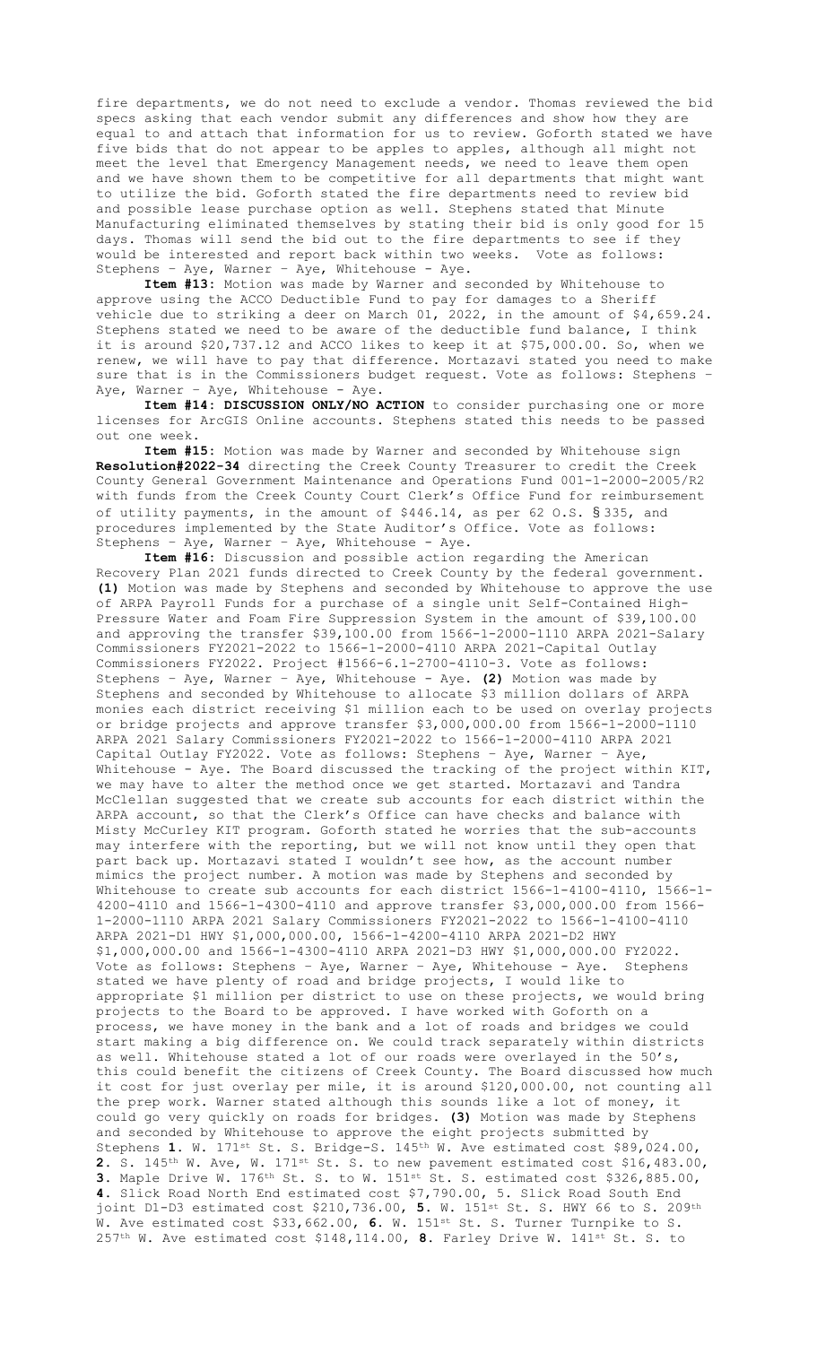fire departments, we do not need to exclude a vendor. Thomas reviewed the bid specs asking that each vendor submit any differences and show how they are equal to and attach that information for us to review. Goforth stated we have five bids that do not appear to be apples to apples, although all might not meet the level that Emergency Management needs, we need to leave them open and we have shown them to be competitive for all departments that might want to utilize the bid. Goforth stated the fire departments need to review bid and possible lease purchase option as well. Stephens stated that Minute Manufacturing eliminated themselves by stating their bid is only good for 15 days. Thomas will send the bid out to the fire departments to see if they would be interested and report back within two weeks. Vote as follows: Stephens – Aye, Warner – Aye, Whitehouse - Aye.

**Item #13:** Motion was made by Warner and seconded by Whitehouse to approve using the ACCO Deductible Fund to pay for damages to a Sheriff vehicle due to striking a deer on March 01, 2022, in the amount of \$4,659.24. Stephens stated we need to be aware of the deductible fund balance, I think it is around \$20,737.12 and ACCO likes to keep it at \$75,000.00. So, when we renew, we will have to pay that difference. Mortazavi stated you need to make sure that is in the Commissioners budget request. Vote as follows: Stephens – Aye, Warner - Aye, Whitehouse - Aye.

**Item #14: DISCUSSION ONLY/NO ACTION** to consider purchasing one or more licenses for ArcGIS Online accounts. Stephens stated this needs to be passed out one week.

**Item #15:** Motion was made by Warner and seconded by Whitehouse sign **Resolution#2022-34** directing the Creek County Treasurer to credit the Creek County General Government Maintenance and Operations Fund 001-1-2000-2005/R2 with funds from the Creek County Court Clerk's Office Fund for reimbursement of utility payments, in the amount of \$446.14, as per 62 O.S. § 335, and procedures implemented by the State Auditor's Office. Vote as follows: Stephens – Aye, Warner – Aye, Whitehouse - Aye.

**Item #16:** Discussion and possible action regarding the American Recovery Plan 2021 funds directed to Creek County by the federal government. **(1)** Motion was made by Stephens and seconded by Whitehouse to approve the use of ARPA Payroll Funds for a purchase of a single unit Self-Contained High-Pressure Water and Foam Fire Suppression System in the amount of \$39,100.00 and approving the transfer \$39,100.00 from 1566-1-2000-1110 ARPA 2021-Salary Commissioners FY2021-2022 to 1566-1-2000-4110 ARPA 2021-Capital Outlay Commissioners FY2022. Project #1566-6.1-2700-4110-3. Vote as follows: Stephens – Aye, Warner – Aye, Whitehouse - Aye. **(2)** Motion was made by Stephens and seconded by Whitehouse to allocate \$3 million dollars of ARPA monies each district receiving \$1 million each to be used on overlay projects or bridge projects and approve transfer \$3,000,000.00 from 1566-1-2000-1110 ARPA 2021 Salary Commissioners FY2021-2022 to 1566-1-2000-4110 ARPA 2021 Capital Outlay FY2022. Vote as follows: Stephens – Aye, Warner – Aye, Whitehouse - Aye. The Board discussed the tracking of the project within KIT, we may have to alter the method once we get started. Mortazavi and Tandra McClellan suggested that we create sub accounts for each district within the ARPA account, so that the Clerk's Office can have checks and balance with Misty McCurley KIT program. Goforth stated he worries that the sub-accounts may interfere with the reporting, but we will not know until they open that part back up. Mortazavi stated I wouldn't see how, as the account number mimics the project number. A motion was made by Stephens and seconded by Whitehouse to create sub accounts for each district 1566-1-4100-4110, 1566-1- 4200-4110 and 1566-1-4300-4110 and approve transfer \$3,000,000.00 from 1566- 1-2000-1110 ARPA 2021 Salary Commissioners FY2021-2022 to 1566-1-4100-4110 ARPA 2021-D1 HWY \$1,000,000.00, 1566-1-4200-4110 ARPA 2021-D2 HWY \$1,000,000.00 and 1566-1-4300-4110 ARPA 2021-D3 HWY \$1,000,000.00 FY2022. Vote as follows: Stephens – Aye, Warner – Aye, Whitehouse - Aye. Stephens stated we have plenty of road and bridge projects, I would like to appropriate \$1 million per district to use on these projects, we would bring projects to the Board to be approved. I have worked with Goforth on a process, we have money in the bank and a lot of roads and bridges we could start making a big difference on. We could track separately within districts as well. Whitehouse stated a lot of our roads were overlayed in the 50's, this could benefit the citizens of Creek County. The Board discussed how much it cost for just overlay per mile, it is around \$120,000.00, not counting all the prep work. Warner stated although this sounds like a lot of money, it could go very quickly on roads for bridges. **(3)** Motion was made by Stephens and seconded by Whitehouse to approve the eight projects submitted by Stephens **1.** W. 171st St. S. Bridge-S. 145th W. Ave estimated cost \$89,024.00, **2.** S. 145th W. Ave, W. 171st St. S. to new pavement estimated cost \$16,483.00, **3.** Maple Drive W. 176th St. S. to W. 151st St. S. estimated cost \$326,885.00, **4.** Slick Road North End estimated cost \$7,790.00, 5. Slick Road South End joint D1-D3 estimated cost \$210,736.00, **5.** W. 151st St. S. HWY 66 to S. 209th W. Ave estimated cost \$33,662.00, **6.** W. 151st St. S. Turner Turnpike to S. 257th W. Ave estimated cost \$148,114.00, **8.** Farley Drive W. 141st St. S. to